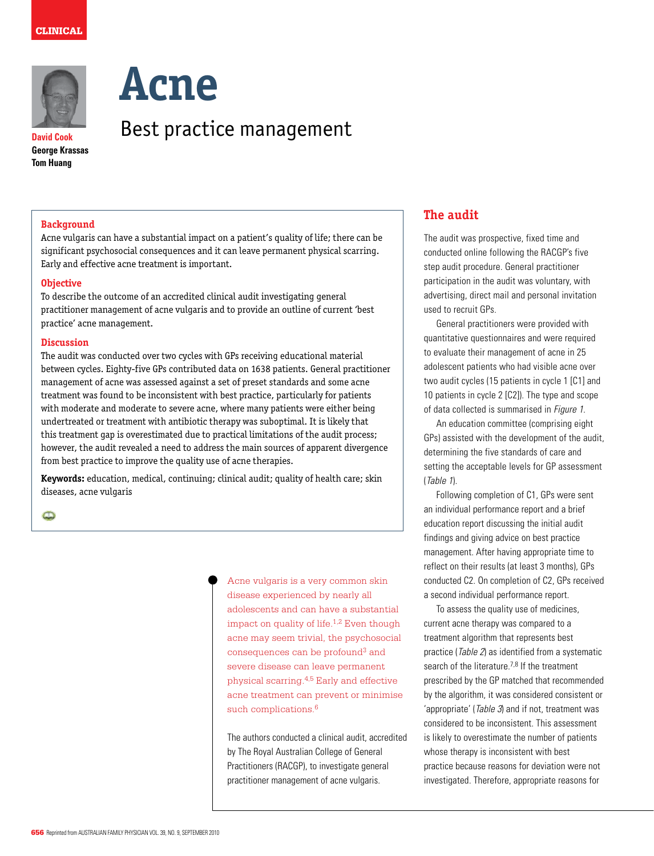

**David Cook George Krassas Tom Huang**



# Best practice management

## **Background**

Acne vulgaris can have a substantial impact on a patient's quality of life; there can be significant psychosocial consequences and it can leave permanent physical scarring. Early and effective acne treatment is important.

### **Objective**

To describe the outcome of an accredited clinical audit investigating general practitioner management of acne vulgaris and to provide an outline of current 'best practice' acne management.

#### **Discussion**

The audit was conducted over two cycles with GPs receiving educational material between cycles. Eighty-five GPs contributed data on 1638 patients. General practitioner management of acne was assessed against a set of preset standards and some acne treatment was found to be inconsistent with best practice, particularly for patients with moderate and moderate to severe acne, where many patients were either being undertreated or treatment with antibiotic therapy was suboptimal. It is likely that this treatment gap is overestimated due to practical limitations of the audit process; however, the audit revealed a need to address the main sources of apparent divergence from best practice to improve the quality use of acne therapies.

**Keywords:** education, medical, continuing; clinical audit; quality of health care; skin diseases, acne vulgaris

 $\mathbf{\Omega}$ 

Acne vulgaris is a very common skin disease experienced by nearly all adolescents and can have a substantial impact on quality of life.<sup>1,2</sup> Even though acne may seem trivial, the psychosocial consequences can be profound<sup>3</sup> and severe disease can leave permanent physical scarring.4,5 Early and effective acne treatment can prevent or minimise such complications.<sup>6</sup>

The authors conducted a clinical audit, accredited by The Royal Australian College of General Practitioners (RACGP), to investigate general practitioner management of acne vulgaris.

## **The audit**

The audit was prospective, fixed time and conducted online following the RACGP's five step audit procedure. General practitioner participation in the audit was voluntary, with advertising, direct mail and personal invitation used to recruit GPs.

General practitioners were provided with quantitative questionnaires and were required to evaluate their management of acne in 25 adolescent patients who had visible acne over two audit cycles (15 patients in cycle 1 [C1] and 10 patients in cycle 2 [C2]). The type and scope of data collected is summarised in Figure 1.

An education committee (comprising eight GPs) assisted with the development of the audit, determining the five standards of care and setting the acceptable levels for GP assessment (Table 1).

Following completion of C1, GPs were sent an individual performance report and a brief education report discussing the initial audit findings and giving advice on best practice management. After having appropriate time to reflect on their results (at least 3 months), GPs conducted C2. On completion of C2, GPs received a second individual performance report.

 To assess the quality use of medicines, current acne therapy was compared to a treatment algorithm that represents best practice (Table 2) as identified from a systematic search of the literature.<sup>7,8</sup> If the treatment prescribed by the GP matched that recommended by the algorithm, it was considered consistent or 'appropriate' (Table 3) and if not, treatment was considered to be inconsistent. This assessment is likely to overestimate the number of patients whose therapy is inconsistent with best practice because reasons for deviation were not investigated. Therefore, appropriate reasons for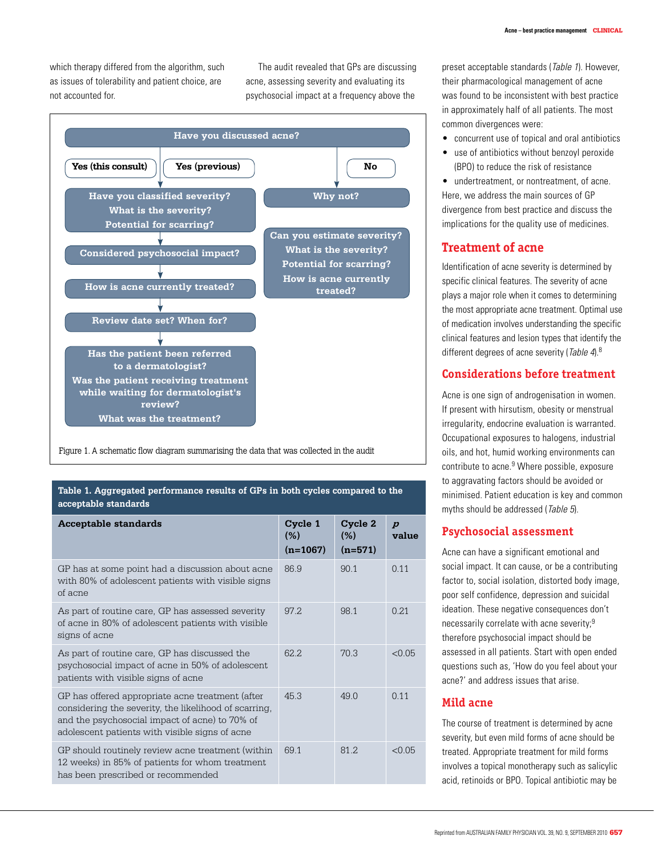which therapy differed from the algorithm, such as issues of tolerability and patient choice, are not accounted for.

 The audit revealed that GPs are discussing acne, assessing severity and evaluating its psychosocial impact at a frequency above the



Figure 1. A schematic flow diagram summarising the data that was collected in the audit

#### **Table 1. Aggregated performance results of GPs in both cycles compared to the acceptable standards**

| <b>Acceptable standards</b>                                                                                                                                                                                   | Cycle 1<br>(%)<br>$(n=1067)$ | Cycle 2<br>(%)<br>$(n=571)$ | $\boldsymbol{p}$<br>value |
|---------------------------------------------------------------------------------------------------------------------------------------------------------------------------------------------------------------|------------------------------|-----------------------------|---------------------------|
| GP has at some point had a discussion about acne<br>with 80% of adolescent patients with visible signs<br>of acne                                                                                             | 86.9                         | 90.1                        | 0.11                      |
| As part of routine care, GP has assessed severity<br>of acne in 80% of adolescent patients with visible<br>signs of acne                                                                                      | 97 2                         | 981                         | 0.21                      |
| As part of routine care, GP has discussed the<br>psychosocial impact of acne in 50% of adolescent<br>patients with visible signs of acne                                                                      | 62.2                         | 703                         | < 0.05                    |
| GP has offered appropriate acne treatment (after<br>considering the severity, the likelihood of scarring,<br>and the psychosocial impact of acne) to 70% of<br>adolescent patients with visible signs of acne | 453                          | 49.0                        | 0.11                      |
| GP should routinely review acne treatment (within<br>12 weeks) in 85% of patients for whom treatment<br>has been prescribed or recommended                                                                    | 691                          | 81 2                        | < 0.05                    |

preset acceptable standards (Table 1). However, their pharmacological management of acne was found to be inconsistent with best practice in approximately half of all patients. The most common divergences were:

- concurrent use of topical and oral antibiotics
- use of antibiotics without benzoyl peroxide (BPO) to reduce the risk of resistance

• undertreatment, or nontreatment, of acne. Here, we address the main sources of GP divergence from best practice and discuss the implications for the quality use of medicines.

# **Treatment of acne**

Identification of acne severity is determined by specific clinical features. The severity of acne plays a major role when it comes to determining the most appropriate acne treatment. Optimal use of medication involves understanding the specific clinical features and lesion types that identify the different degrees of acne severity (Table 4).<sup>8</sup>

# **Considerations before treatment**

Acne is one sign of androgenisation in women. If present with hirsutism, obesity or menstrual irregularity, endocrine evaluation is warranted. Occupational exposures to halogens, industrial oils, and hot, humid working environments can contribute to acne.<sup>9</sup> Where possible, exposure to aggravating factors should be avoided or minimised. Patient education is key and common myths should be addressed (Table 5).

## **Psychosocial assessment**

Acne can have a significant emotional and social impact. It can cause, or be a contributing factor to, social isolation, distorted body image, poor self confidence, depression and suicidal ideation. These negative consequences don't necessarily correlate with acne severity;9 therefore psychosocial impact should be assessed in all patients. Start with open ended questions such as, 'How do you feel about your acne?' and address issues that arise.

## **Mild acne**

The course of treatment is determined by acne severity, but even mild forms of acne should be treated. Appropriate treatment for mild forms involves a topical monotherapy such as salicylic acid, retinoids or BPO. Topical antibiotic may be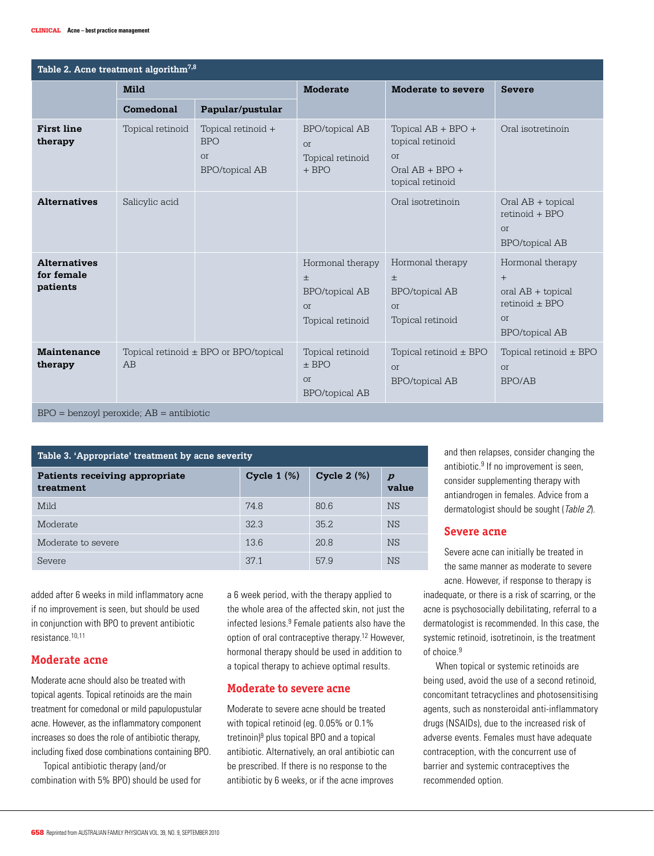| Table 2. Acne treatment algorithm <sup>7,8</sup> |                  |                                                                        |                                                                                     |                                                                                                |                                                                                                            |  |
|--------------------------------------------------|------------------|------------------------------------------------------------------------|-------------------------------------------------------------------------------------|------------------------------------------------------------------------------------------------|------------------------------------------------------------------------------------------------------------|--|
|                                                  | <b>Mild</b>      |                                                                        | <b>Moderate</b>                                                                     | Moderate to severe                                                                             | <b>Severe</b>                                                                                              |  |
|                                                  | Comedonal        | Papular/pustular                                                       |                                                                                     |                                                                                                |                                                                                                            |  |
| <b>First line</b><br>therapy                     | Topical retinoid | Topical retinoid +<br><b>BPO</b><br><b>or</b><br><b>BPO/topical AB</b> | <b>BPO/topical AB</b><br><b>or</b><br>Topical retinoid<br>$+$ BPO                   | Topical $AB + BPO +$<br>topical retinoid<br><b>or</b><br>$Oral AB + BPO +$<br>topical retinoid | Oral isotretinoin                                                                                          |  |
| <b>Alternatives</b>                              | Salicylic acid   |                                                                        |                                                                                     | Oral isotretinoin                                                                              | $Oral AB + topical$<br>$retinoid + BPO$<br><b>or</b><br><b>BPO/topical AB</b>                              |  |
| <b>Alternatives</b><br>for female<br>patients    |                  |                                                                        | Hormonal therapy<br>$\pm$<br><b>BPO/topical AB</b><br><b>or</b><br>Topical retinoid | Hormonal therapy<br>$\pm$<br><b>BPO/topical AB</b><br><b>or</b><br>Topical retinoid            | Hormonal therapy<br>$+$<br>oral $AB + topical$<br>retinoid $\pm$ BPO<br><b>or</b><br><b>BPO/topical AB</b> |  |
| <b>Maintenance</b><br>therapy                    | AB               | Topical retinoid $\pm$ BPO or BPO/topical                              | Topical retinoid<br>$±$ BPO<br><b>or</b><br><b>BPO/topical AB</b>                   | Topical retinoid $\pm$ BPO<br><b>or</b><br><b>BPO/topical AB</b>                               | Topical retinoid $\pm$ BPO<br><b>or</b><br><b>BPO/AB</b>                                                   |  |
| $BPO = benzoyl peroxide; AB = antibiotic$        |                  |                                                                        |                                                                                     |                                                                                                |                                                                                                            |  |

| Table 3. 'Appropriate' treatment by acne severity |               |               |                           |  |
|---------------------------------------------------|---------------|---------------|---------------------------|--|
| Patients receiving appropriate<br>treatment       | Cycle $1(\%)$ | Cycle $2(\%)$ | $\boldsymbol{p}$<br>value |  |
| Mild                                              | 74.8          | 80.6          | <b>NS</b>                 |  |
| Moderate                                          | 32.3          | 35.2.         | <b>NS</b>                 |  |
| Moderate to severe                                | 13.6          | 20.8          | <b>NS</b>                 |  |
| Severe                                            | 37.1          | 57.9          | <b>NS</b>                 |  |

added after 6 weeks in mild inflammatory acne if no improvement is seen, but should be used in conjunction with BPO to prevent antibiotic resistance.10,11

## **Moderate acne**

Moderate acne should also be treated with topical agents. Topical retinoids are the main treatment for comedonal or mild papulopustular acne. However, as the inflammatory component increases so does the role of antibiotic therapy, including fixed dose combinations containing BPO.

 Topical antibiotic therapy (and/or combination with 5% BPO) should be used for a 6 week period, with the therapy applied to the whole area of the affected skin, not just the infected lesions.9 Female patients also have the option of oral contraceptive therapy.12 However, hormonal therapy should be used in addition to a topical therapy to achieve optimal results.

## **Moderate to severe acne**

Moderate to severe acne should be treated with topical retinoid (eg. 0.05% or 0.1% tretinoin)<sup>9</sup> plus topical BPO and a topical antibiotic. Alternatively, an oral antibiotic can be prescribed. If there is no response to the antibiotic by 6 weeks, or if the acne improves

and then relapses, consider changing the antibiotic. $9$  If no improvement is seen, consider supplementing therapy with antiandrogen in females. Advice from a dermatologist should be sought (Table 2).

## **Severe acne**

Severe acne can initially be treated in the same manner as moderate to severe acne. However, if response to therapy is

inadequate, or there is a risk of scarring, or the acne is psychosocially debilitating, referral to a dermatologist is recommended. In this case, the systemic retinoid, isotretinoin, is the treatment of choice.<sup>9</sup>

When topical or systemic retinoids are being used, avoid the use of a second retinoid, concomitant tetracyclines and photosensitising agents, such as nonsteroidal anti-inflammatory drugs (NSAIDs), due to the increased risk of adverse events. Females must have adequate contraception, with the concurrent use of barrier and systemic contraceptives the recommended option.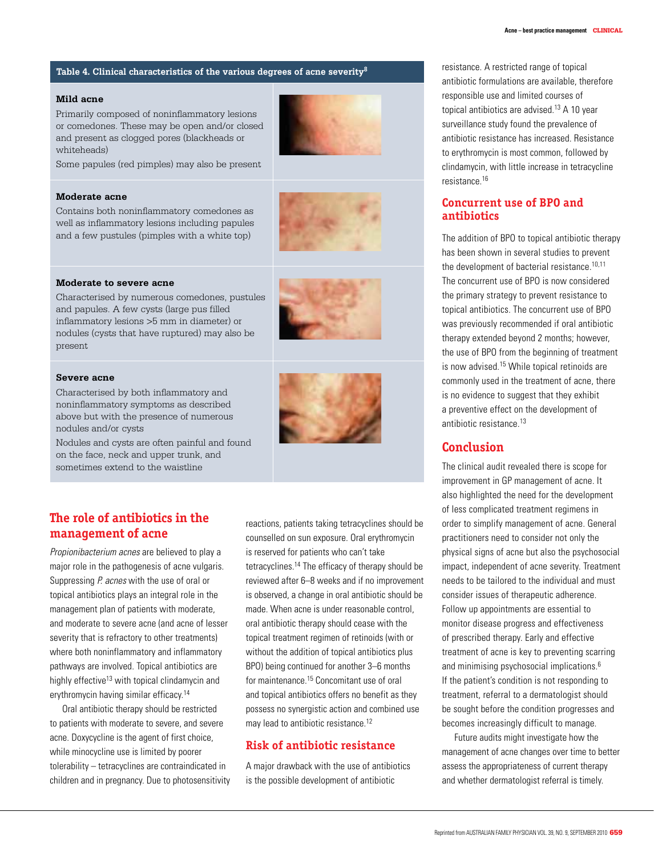### **Table 4. Clinical characteristics of the various degrees of acne severity8**

#### **Mild acne**

Primarily composed of noninflammatory lesions or comedones. These may be open and/or closed and present as clogged pores (blackheads or whiteheads)



#### **Moderate acne**

Contains both noninflammatory comedones as well as inflammatory lesions including papules and a few pustules (pimples with a white top)



#### **Moderate to severe acne**

Characterised by numerous comedones, pustules and papules. A few cysts (large pus filled inflammatory lesions >5 mm in diameter) or nodules (cysts that have ruptured) may also be present

#### **Severe acne**

Characterised by both inflammatory and noninflammatory symptoms as described above but with the presence of numerous nodules and/or cysts

Nodules and cysts are often painful and found on the face, neck and upper trunk, and sometimes extend to the waistline



# **The role of antibiotics in the management of acne**

Propionibacterium acnes are believed to play a major role in the pathogenesis of acne vulgaris. Suppressing P. acnes with the use of oral or topical antibiotics plays an integral role in the management plan of patients with moderate, and moderate to severe acne (and acne of lesser severity that is refractory to other treatments) where both noninflammatory and inflammatory pathways are involved. Topical antibiotics are highly effective<sup>13</sup> with topical clindamycin and erythromycin having similar efficacy.14

 Oral antibiotic therapy should be restricted to patients with moderate to severe, and severe acne. Doxycycline is the agent of first choice, while minocycline use is limited by poorer tolerability – tetracyclines are contraindicated in children and in pregnancy. Due to photosensitivity reactions, patients taking tetracyclines should be counselled on sun exposure. Oral erythromycin is reserved for patients who can't take tetracyclines.14 The efficacy of therapy should be reviewed after 6–8 weeks and if no improvement is observed, a change in oral antibiotic should be made. When acne is under reasonable control, oral antibiotic therapy should cease with the topical treatment regimen of retinoids (with or without the addition of topical antibiotics plus BPO) being continued for another 3–6 months for maintenance.15 Concomitant use of oral and topical antibiotics offers no benefit as they possess no synergistic action and combined use may lead to antibiotic resistance.<sup>12</sup>

# **Risk of antibiotic resistance**

A major drawback with the use of antibiotics is the possible development of antibiotic

resistance. A restricted range of topical antibiotic formulations are available, therefore responsible use and limited courses of topical antibiotics are advised.<sup>13</sup> A 10 year surveillance study found the prevalence of antibiotic resistance has increased. Resistance to erythromycin is most common, followed by clindamycin, with little increase in tetracycline resistance.16

## **Concurrent use of BPO and antibiotics**

The addition of BPO to topical antibiotic therapy has been shown in several studies to prevent the development of bacterial resistance.<sup>10,11</sup> The concurrent use of BPO is now considered the primary strategy to prevent resistance to topical antibiotics. The concurrent use of BPO was previously recommended if oral antibiotic therapy extended beyond 2 months; however, the use of BPO from the beginning of treatment is now advised.<sup>15</sup> While topical retinoids are commonly used in the treatment of acne, there is no evidence to suggest that they exhibit a preventive effect on the development of antibiotic resistance 13

# **Conclusion**

The clinical audit revealed there is scope for improvement in GP management of acne. It also highlighted the need for the development of less complicated treatment regimens in order to simplify management of acne. General practitioners need to consider not only the physical signs of acne but also the psychosocial impact, independent of acne severity. Treatment needs to be tailored to the individual and must consider issues of therapeutic adherence. Follow up appointments are essential to monitor disease progress and effectiveness of prescribed therapy. Early and effective treatment of acne is key to preventing scarring and minimising psychosocial implications.6 If the patient's condition is not responding to treatment, referral to a dermatologist should be sought before the condition progresses and becomes increasingly difficult to manage.

Future audits might investigate how the management of acne changes over time to better assess the appropriateness of current therapy and whether dermatologist referral is timely.